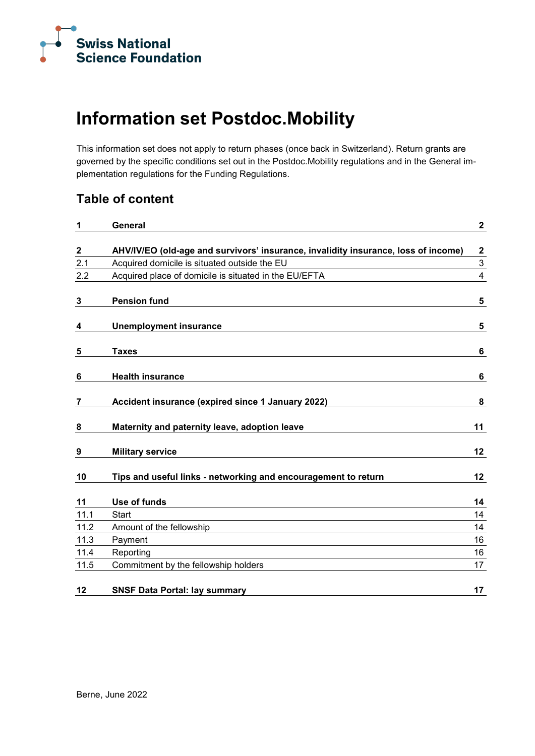

## **Information set Postdoc.Mobility**

This information set does not apply to return phases (once back in Switzerland). Return grants are governed by the specific conditions set out in the Postdoc.Mobility regulations and in the General implementation regulations for the Funding Regulations.

### **Table of content**

| 1           | General                                                                            | $\mathbf{2}$              |
|-------------|------------------------------------------------------------------------------------|---------------------------|
| $\mathbf 2$ | AHV/IV/EO (old-age and survivors' insurance, invalidity insurance, loss of income) | $\mathbf{2}$              |
| 2.1         | Acquired domicile is situated outside the EU                                       | $\ensuremath{\mathsf{3}}$ |
| 2.2         | Acquired place of domicile is situated in the EU/EFTA                              | 4                         |
| 3           | <b>Pension fund</b>                                                                | 5                         |
| 4           | <b>Unemployment insurance</b>                                                      | 5                         |
| 5           | <b>Taxes</b>                                                                       | 6                         |
| 6           | <b>Health insurance</b>                                                            | 6                         |
| 7           | Accident insurance (expired since 1 January 2022)                                  | 8                         |
| 8           | Maternity and paternity leave, adoption leave                                      | 11                        |
| 9           | <b>Military service</b>                                                            | 12                        |
| 10          | Tips and useful links - networking and encouragement to return                     | 12                        |
| 11          | Use of funds                                                                       | 14                        |
| 11.1        | <b>Start</b>                                                                       | 14                        |
| 11.2        | Amount of the fellowship                                                           | 14                        |
| 11.3        | Payment                                                                            | 16                        |
| 11.4        | Reporting                                                                          | 16                        |
| 11.5        | Commitment by the fellowship holders                                               | 17                        |
| 12          | <b>SNSF Data Portal: lay summary</b>                                               | 17                        |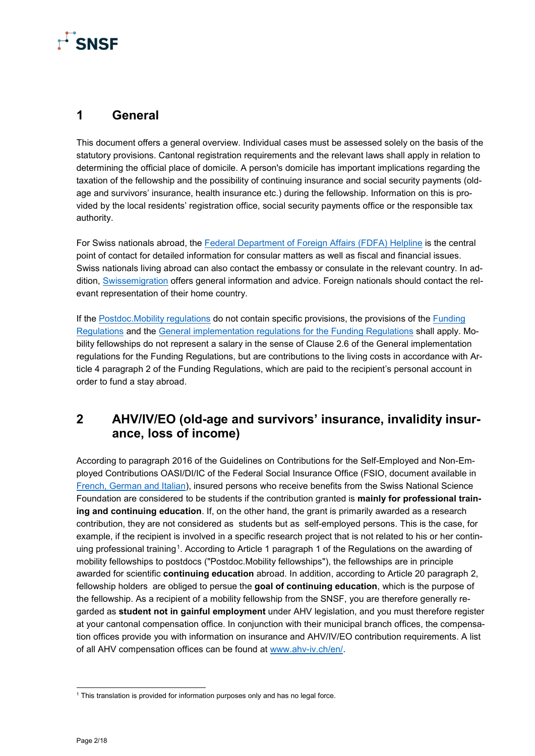# $\mathbf{r}^{\Gamma}$ SNSF

### <span id="page-1-0"></span>**1 General**

This document offers a general overview. Individual cases must be assessed solely on the basis of the statutory provisions. Cantonal registration requirements and the relevant laws shall apply in relation to determining the official place of domicile. A person's domicile has important implications regarding the taxation of the fellowship and the possibility of continuing insurance and social security payments (oldage and survivors' insurance, health insurance etc.) during the fellowship. Information on this is provided by the local residents' registration office, social security payments office or the responsible tax authority.

For Swiss nationals abroad, the [Federal Department of Foreign](https://www.eda.admin.ch/eda/en/fdfa/fdfa/kontakt/helpline-eda.html) Affairs (FDFA) Helpline is the central point of contact for detailed information for consular matters as well as fiscal and financial issues. Swiss nationals living abroad can also contact the embassy or consulate in the relevant country. In addition, [Swissemigration](https://www.eda.admin.ch/eda/en/fdfa/living-abroad/auslandaufenthalt.html) offers general information and advice. Foreign nationals should contact the relevant representation of their home country.

If the [Postdoc.Mobility regulations](https://www.snf.ch/media/en/7ec22xUFqQOtJmE7/Reglement_PM_ab2021_en.pdf) do not contain specific provisions, the provisions of the [Funding](https://www.snf.ch/media/en/lCCrvpOHZ38Hbg5Y/allg_reglement_16_e.pdf)  [Regulations](https://www.snf.ch/media/en/lCCrvpOHZ38Hbg5Y/allg_reglement_16_e.pdf) and the [General implementation regulations for the Funding Regulations](https://www.snf.ch/media/en/B0SWnPsrDCRTaiCx/snsf-general-implementation-regulations-for-the-funding-regulations-e.pdf) shall apply. Mobility fellowships do not represent a salary in the sense of Clause 2.6 of the General implementation regulations for the Funding Regulations, but are contributions to the living costs in accordance with Article 4 paragraph 2 of the Funding Regulations, which are paid to the recipient's personal account in order to fund a stay abroad.

### <span id="page-1-1"></span>**2 AHV/IV/EO (old-age and survivors' insurance, invalidity insurance, loss of income)**

According to paragraph 2016 of the Guidelines on Contributions for the Self-Employed and Non-Employed Contributions OASI/DI/IC of the Federal Social Insurance Office (FSIO, document available in [French, German and Italian\)](https://sozialversicherungen.admin.ch/de/d/6954/download), insured persons who receive benefits from the Swiss National Science Foundation are considered to be students if the contribution granted is **mainly for professional training and continuing education**. If, on the other hand, the grant is primarily awarded as a research contribution, they are not considered as students but as self-employed persons. This is the case, for example, if the recipient is involved in a specific research project that is not related to his or her continuing professional training[1](#page-1-2). According to Article 1 paragraph 1 of the Regulations on the awarding of mobility fellowships to postdocs ("Postdoc.Mobility fellowships"), the fellowships are in principle awarded for scientific **continuing education** abroad. In addition, according to Article 20 paragraph 2, fellowship holders are obliged to persue the **goal of continuing education**, which is the purpose of the fellowship. As a recipient of a mobility fellowship from the SNSF, you are therefore generally regarded as **student not in gainful employment** under AHV legislation, and you must therefore register at your cantonal compensation office. In conjunction with their municipal branch offices, the compensation offices provide you with information on insurance and AHV/IV/EO contribution requirements. A list of all AHV compensation offices can be found at [www.ahv-iv.ch/en/.](http://www.ahv-iv.ch/en/)

<span id="page-1-2"></span><sup>&</sup>lt;sup>1</sup> This translation is provided for information purposes only and has no legal force.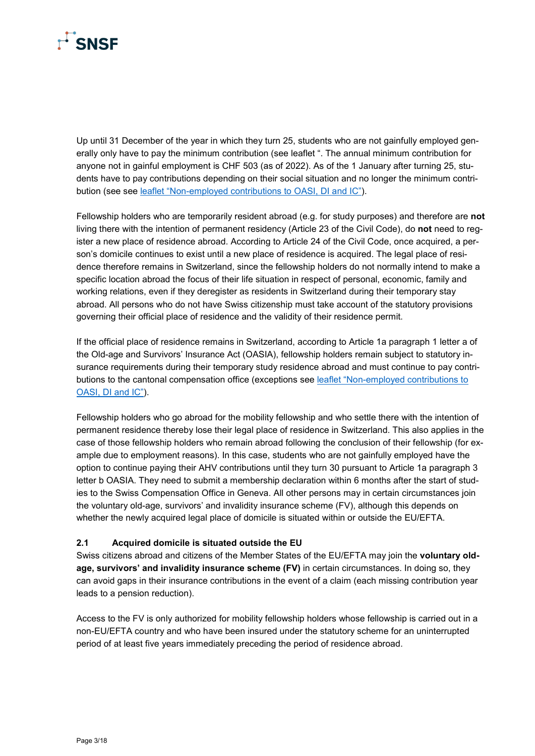

Up until 31 December of the year in which they turn 25, students who are not gainfully employed generally only have to pay the minimum contribution (see leaflet ". The annual minimum contribution for anyone not in gainful employment is CHF 503 (as of 2022). As of the 1 January after turning 25, students have to pay contributions depending on their social situation and no longer the minimum contribution (see see [leaflet "Non-employed contributions to OASI, DI and IC"\)](https://www.ahv-iv.ch/en/Leaflets-forms/Leaflets/Contributions-OASI-DI-IC).

Fellowship holders who are temporarily resident abroad (e.g. for study purposes) and therefore are **not** living there with the intention of permanent residency (Article 23 of the Civil Code), do **not** need to register a new place of residence abroad. According to Article 24 of the Civil Code, once acquired, a person's domicile continues to exist until a new place of residence is acquired. The legal place of residence therefore remains in Switzerland, since the fellowship holders do not normally intend to make a specific location abroad the focus of their life situation in respect of personal, economic, family and working relations, even if they deregister as residents in Switzerland during their temporary stay abroad. All persons who do not have Swiss citizenship must take account of the statutory provisions governing their official place of residence and the validity of their residence permit.

If the official place of residence remains in Switzerland, according to Article 1a paragraph 1 letter a of the Old-age and Survivors' Insurance Act (OASIA), fellowship holders remain subject to statutory insurance requirements during their temporary study residence abroad and must continue to pay contributions to the cantonal compensation office (exceptions see [leaflet "Non-employed contributions to](https://www.ahv-iv.ch/en/Leaflets-forms/Leaflets/Contributions-OASI-DI-IC)  [OASI, DI and IC"\)](https://www.ahv-iv.ch/en/Leaflets-forms/Leaflets/Contributions-OASI-DI-IC).

Fellowship holders who go abroad for the mobility fellowship and who settle there with the intention of permanent residence thereby lose their legal place of residence in Switzerland. This also applies in the case of those fellowship holders who remain abroad following the conclusion of their fellowship (for example due to employment reasons). In this case, students who are not gainfully employed have the option to continue paying their AHV contributions until they turn 30 pursuant to Article 1a paragraph 3 letter b OASIA. They need to submit a membership declaration within 6 months after the start of studies to the Swiss Compensation Office in Geneva. All other persons may in certain circumstances join the voluntary old-age, survivors' and invalidity insurance scheme (FV), although this depends on whether the newly acquired legal place of domicile is situated within or outside the EU/EFTA.

### <span id="page-2-0"></span>**2.1 Acquired domicile is situated outside the EU**

Swiss citizens abroad and citizens of the Member States of the EU/EFTA may join the **voluntary oldage, survivors' and invalidity insurance scheme (FV)** in certain circumstances. In doing so, they can avoid gaps in their insurance contributions in the event of a claim (each missing contribution year leads to a pension reduction).

Access to the FV is only authorized for mobility fellowship holders whose fellowship is carried out in a non-EU/EFTA country and who have been insured under the statutory scheme for an uninterrupted period of at least five years immediately preceding the period of residence abroad.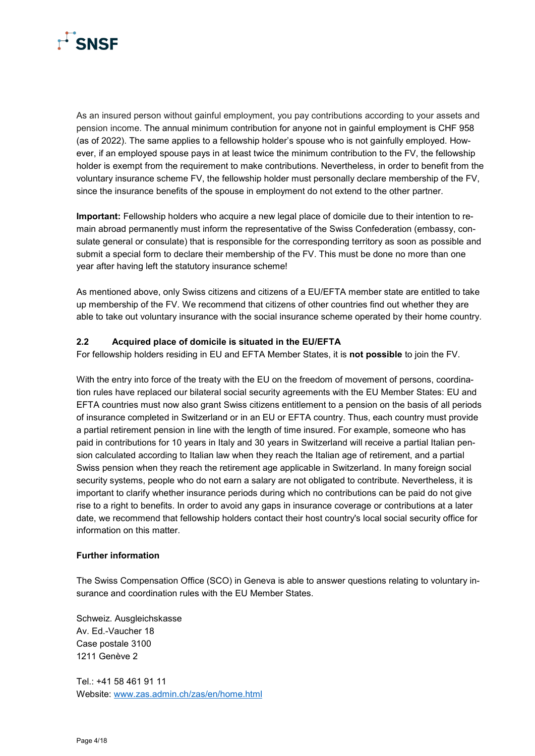

As an insured person without gainful employment, you pay contributions according to your assets and pension income. The annual minimum contribution for anyone not in gainful employment is CHF 958 (as of 2022). The same applies to a fellowship holder's spouse who is not gainfully employed. However, if an employed spouse pays in at least twice the minimum contribution to the FV, the fellowship holder is exempt from the requirement to make contributions. Nevertheless, in order to benefit from the voluntary insurance scheme FV, the fellowship holder must personally declare membership of the FV, since the insurance benefits of the spouse in employment do not extend to the other partner.

**Important:** Fellowship holders who acquire a new legal place of domicile due to their intention to remain abroad permanently must inform the representative of the Swiss Confederation (embassy, consulate general or consulate) that is responsible for the corresponding territory as soon as possible and submit a special form to declare their membership of the FV. This must be done no more than one year after having left the statutory insurance scheme!

As mentioned above, only Swiss citizens and citizens of a EU/EFTA member state are entitled to take up membership of the FV. We recommend that citizens of other countries find out whether they are able to take out voluntary insurance with the social insurance scheme operated by their home country.

### <span id="page-3-0"></span>**2.2 Acquired place of domicile is situated in the EU/EFTA**

For fellowship holders residing in EU and EFTA Member States, it is **not possible** to join the FV.

With the entry into force of the treaty with the EU on the freedom of movement of persons, coordination rules have replaced our bilateral social security agreements with the EU Member States: EU and EFTA countries must now also grant Swiss citizens entitlement to a pension on the basis of all periods of insurance completed in Switzerland or in an EU or EFTA country. Thus, each country must provide a partial retirement pension in line with the length of time insured. For example, someone who has paid in contributions for 10 years in Italy and 30 years in Switzerland will receive a partial Italian pension calculated according to Italian law when they reach the Italian age of retirement, and a partial Swiss pension when they reach the retirement age applicable in Switzerland. In many foreign social security systems, people who do not earn a salary are not obligated to contribute. Nevertheless, it is important to clarify whether insurance periods during which no contributions can be paid do not give rise to a right to benefits. In order to avoid any gaps in insurance coverage or contributions at a later date, we recommend that fellowship holders contact their host country's local social security office for information on this matter.

### **Further information**

The Swiss Compensation Office (SCO) in Geneva is able to answer questions relating to voluntary insurance and coordination rules with the EU Member States.

Schweiz. Ausgleichskasse Av. Ed.-Vaucher 18 Case postale 3100 1211 Genève 2

Tel.: +41 58 461 91 11 Website: [www.zas.admin.ch/zas/en/home.html](https://www.zas.admin.ch/zas/en/home.html)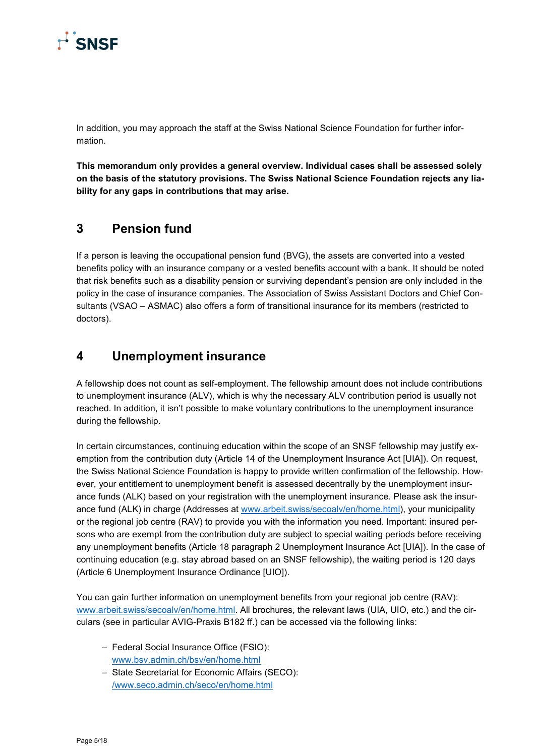

In addition, you may approach the staff at the Swiss National Science Foundation for further information.

**This memorandum only provides a general overview. Individual cases shall be assessed solely on the basis of the statutory provisions. The Swiss National Science Foundation rejects any liability for any gaps in contributions that may arise.**

### <span id="page-4-0"></span>**3 Pension fund**

If a person is leaving the occupational pension fund (BVG), the assets are converted into a vested benefits policy with an insurance company or a vested benefits account with a bank. It should be noted that risk benefits such as a disability pension or surviving dependant's pension are only included in the policy in the case of insurance companies. The Association of Swiss Assistant Doctors and Chief Consultants (VSAO – ASMAC) also offers a form of transitional insurance for its members (restricted to doctors).

### <span id="page-4-1"></span>**4 Unemployment insurance**

A fellowship does not count as self-employment. The fellowship amount does not include contributions to unemployment insurance (ALV), which is why the necessary ALV contribution period is usually not reached. In addition, it isn't possible to make voluntary contributions to the unemployment insurance during the fellowship.

In certain circumstances, continuing education within the scope of an SNSF fellowship may justify exemption from the contribution duty (Article 14 of the Unemployment Insurance Act [UIA]). On request, the Swiss National Science Foundation is happy to provide written confirmation of the fellowship. However, your entitlement to unemployment benefit is assessed decentrally by the unemployment insurance funds (ALK) based on your registration with the unemployment insurance. Please ask the insurance fund (ALK) in charge (Addresses at [www.arbeit.swiss/secoalv/en/home.html\)](https://www.arbeit.swiss/secoalv/en/home.html), your municipality or the regional job centre (RAV) to provide you with the information you need. Important: insured persons who are exempt from the contribution duty are subject to special waiting periods before receiving any unemployment benefits (Article 18 paragraph 2 Unemployment Insurance Act [UIA]). In the case of continuing education (e.g. stay abroad based on an SNSF fellowship), the waiting period is 120 days (Article 6 Unemployment Insurance Ordinance [UIO]).

You can gain further information on unemployment benefits from your regional job centre (RAV): [www.arbeit.swiss/secoalv/en/home.html.](https://www.arbeit.swiss/secoalv/en/home.html) All brochures, the relevant laws (UIA, UIO, etc.) and the circulars (see in particular AVIG-Praxis B182 ff.) can be accessed via the following links:

- Federal Social Insurance Office (FSIO): [www.bsv.admin.ch/bsv/en/home.html](https://www.bsv.admin.ch/bsv/en/home.html)
- State Secretariat for Economic Affairs (SECO): [/www.seco.admin.ch/seco/en/home.html](https://www.seco.admin.ch/seco/en/home.html)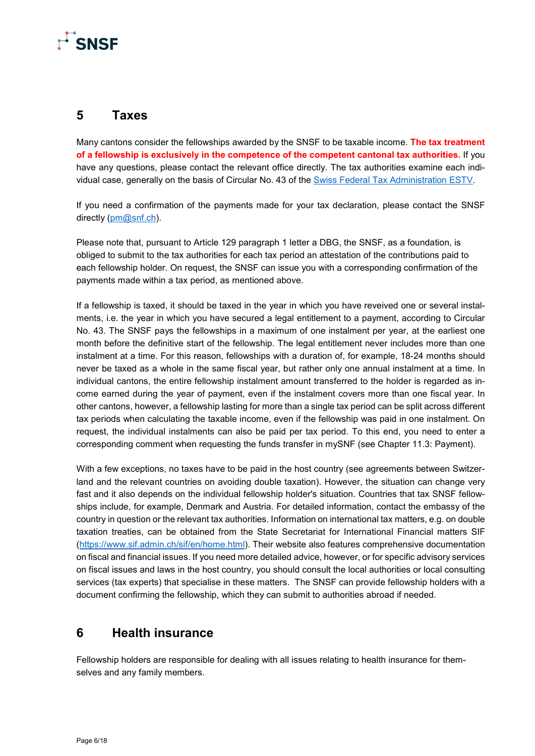# **F** SNSF

### <span id="page-5-0"></span>**5 Taxes**

Many cantons consider the fellowships awarded by the SNSF to be taxable income. **The tax treatment of a fellowship is exclusively in the competence of the competent cantonal tax authorities.** If you have any questions, please contact the relevant office directly. The tax authorities examine each individual case, generally on the basis of Circular No. 43 of the [Swiss Federal Tax Administration ESTV.](https://www.estv.admin.ch/estv/fr/home/direkte-bundessteuer/direkte-bundessteuer/fachinformationen/kreisschreiben.html)

If you need a confirmation of the payments made for your tax declaration, please contact the SNSF directly [\(pm@snf.ch\)](mailto:pm@snf.ch).

Please note that, pursuant to Article 129 paragraph 1 letter a DBG, the SNSF, as a foundation, is obliged to submit to the tax authorities for each tax period an attestation of the contributions paid to each fellowship holder. On request, the SNSF can issue you with a corresponding confirmation of the payments made within a tax period, as mentioned above.

If a fellowship is taxed, it should be taxed in the year in which you have reveived one or several instalments, i.e. the year in which you have secured a legal entitlement to a payment, according to Circular No. 43. The SNSF pays the fellowships in a maximum of one instalment per year, at the earliest one month before the definitive start of the fellowship. The legal entitlement never includes more than one instalment at a time. For this reason, fellowships with a duration of, for example, 18-24 months should never be taxed as a whole in the same fiscal year, but rather only one annual instalment at a time. In individual cantons, the entire fellowship instalment amount transferred to the holder is regarded as income earned during the year of payment, even if the instalment covers more than one fiscal year. In other cantons, however, a fellowship lasting for more than a single tax period can be split across different tax periods when calculating the taxable income, even if the fellowship was paid in one instalment. On request, the individual instalments can also be paid per tax period. To this end, you need to enter a corresponding comment when requesting the funds transfer in mySNF (see Chapter 11.3: Payment).

With a few exceptions, no taxes have to be paid in the host country (see agreements between Switzerland and the relevant countries on avoiding double taxation). However, the situation can change very fast and it also depends on the individual fellowship holder's situation. Countries that tax SNSF fellowships include, for example, Denmark and Austria. For detailed information, contact the embassy of the country in question or the relevant tax authorities. Information on international tax matters, e.g. on double taxation treaties, can be obtained from the State Secretariat for International Financial matters SIF [\(https://www.sif.admin.ch/sif/en/home.html\)](https://www.sif.admin.ch/sif/en/home.html). Their website also features comprehensive documentation on fiscal and financial issues. If you need more detailed advice, however, or for specific advisory services on fiscal issues and laws in the host country, you should consult the local authorities or local consulting services (tax experts) that specialise in these matters. The SNSF can provide fellowship holders with a document confirming the fellowship, which they can submit to authorities abroad if needed.

### <span id="page-5-1"></span>**6 Health insurance**

Fellowship holders are responsible for dealing with all issues relating to health insurance for themselves and any family members.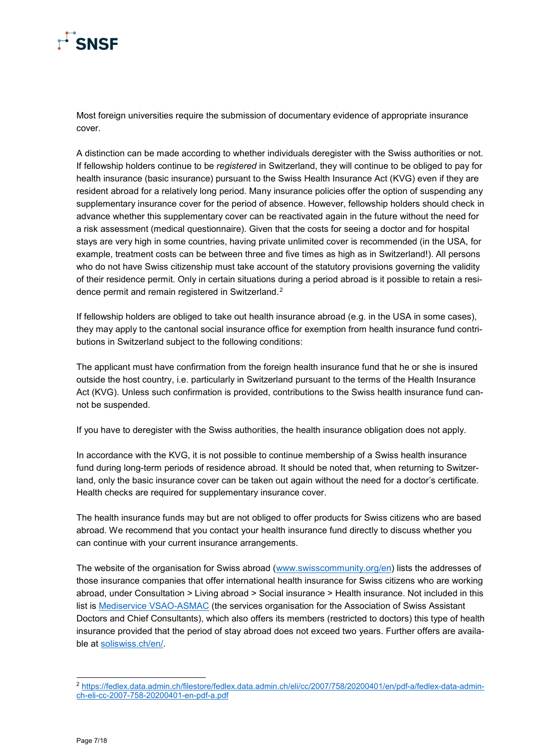

Most foreign universities require the submission of documentary evidence of appropriate insurance cover.

A distinction can be made according to whether individuals deregister with the Swiss authorities or not. If fellowship holders continue to be *registered* in Switzerland, they will continue to be obliged to pay for health insurance (basic insurance) pursuant to the Swiss Health Insurance Act (KVG) even if they are resident abroad for a relatively long period. Many insurance policies offer the option of suspending any supplementary insurance cover for the period of absence. However, fellowship holders should check in advance whether this supplementary cover can be reactivated again in the future without the need for a risk assessment (medical questionnaire). Given that the costs for seeing a doctor and for hospital stays are very high in some countries, having private unlimited cover is recommended (in the USA, for example, treatment costs can be between three and five times as high as in Switzerland!). All persons who do not have Swiss citizenship must take account of the statutory provisions governing the validity of their residence permit. Only in certain situations during a period abroad is it possible to retain a resi-dence permit and remain registered in Switzerland.<sup>[2](#page-6-0)</sup>

If fellowship holders are obliged to take out health insurance abroad (e.g. in the USA in some cases), they may apply to the cantonal social insurance office for exemption from health insurance fund contributions in Switzerland subject to the following conditions:

The applicant must have confirmation from the foreign health insurance fund that he or she is insured outside the host country, i.e. particularly in Switzerland pursuant to the terms of the Health Insurance Act (KVG). Unless such confirmation is provided, contributions to the Swiss health insurance fund cannot be suspended.

If you have to deregister with the Swiss authorities, the health insurance obligation does not apply.

In accordance with the KVG, it is not possible to continue membership of a Swiss health insurance fund during long-term periods of residence abroad. It should be noted that, when returning to Switzerland, only the basic insurance cover can be taken out again without the need for a doctor's certificate. Health checks are required for supplementary insurance cover.

The health insurance funds may but are not obliged to offer products for Swiss citizens who are based abroad. We recommend that you contact your health insurance fund directly to discuss whether you can continue with your current insurance arrangements.

The website of the organisation for Swiss abroad [\(www.swisscommunity.org/en\)](https://www.swisscommunity.org/en) lists the addresses of those insurance companies that offer international health insurance for Swiss citizens who are working abroad, under Consultation > Living abroad > Social insurance > Health insurance. Not included in this list is [Mediservice VSAO-ASMAC](https://www.mediservice-vsao.ch/fr/) (the services organisation for the Association of Swiss Assistant Doctors and Chief Consultants), which also offers its members (restricted to doctors) this type of health insurance provided that the period of stay abroad does not exceed two years. Further offers are available at [soliswiss.ch/en/.](https://soliswiss.ch/en/)

<span id="page-6-0"></span> <sup>2</sup> [https://fedlex.data.admin.ch/filestore/fedlex.data.admin.ch/eli/cc/2007/758/20200401/en/pdf-a/fedlex-data-admin](https://fedlex.data.admin.ch/filestore/fedlex.data.admin.ch/eli/cc/2007/758/20200401/en/pdf-a/fedlex-data-admin-ch-eli-cc-2007-758-20200401-en-pdf-a.pdf)[ch-eli-cc-2007-758-20200401-en-pdf-a.pdf](https://fedlex.data.admin.ch/filestore/fedlex.data.admin.ch/eli/cc/2007/758/20200401/en/pdf-a/fedlex-data-admin-ch-eli-cc-2007-758-20200401-en-pdf-a.pdf)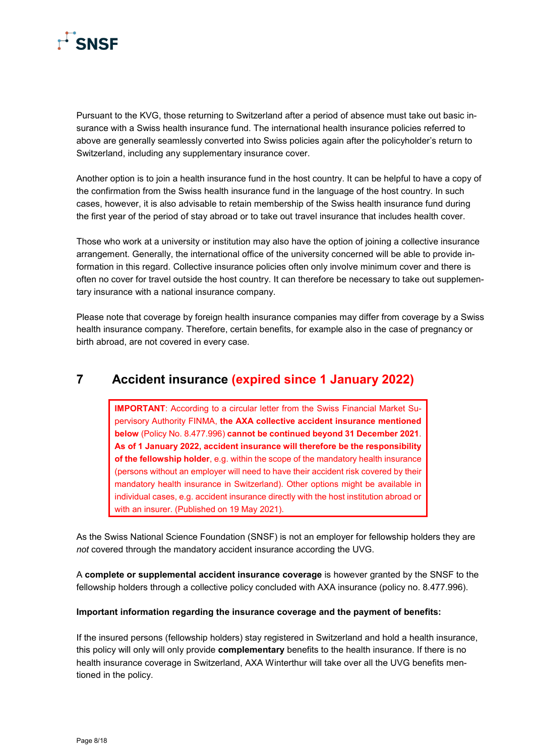

Pursuant to the KVG, those returning to Switzerland after a period of absence must take out basic insurance with a Swiss health insurance fund. The international health insurance policies referred to above are generally seamlessly converted into Swiss policies again after the policyholder's return to Switzerland, including any supplementary insurance cover.

Another option is to join a health insurance fund in the host country. It can be helpful to have a copy of the confirmation from the Swiss health insurance fund in the language of the host country. In such cases, however, it is also advisable to retain membership of the Swiss health insurance fund during the first year of the period of stay abroad or to take out travel insurance that includes health cover.

Those who work at a university or institution may also have the option of joining a collective insurance arrangement. Generally, the international office of the university concerned will be able to provide information in this regard. Collective insurance policies often only involve minimum cover and there is often no cover for travel outside the host country. It can therefore be necessary to take out supplementary insurance with a national insurance company.

Please note that coverage by foreign health insurance companies may differ from coverage by a Swiss health insurance company. Therefore, certain benefits, for example also in the case of pregnancy or birth abroad, are not covered in every case.

### <span id="page-7-0"></span>**7 Accident insurance (expired since 1 January 2022)**

**IMPORTANT**: According to a circular letter from the Swiss Financial Market Supervisory Authority FINMA, **the AXA collective accident insurance mentioned below** (Policy No. 8.477.996) **cannot be continued beyond 31 December 2021**. **As of 1 January 2022, accident insurance will therefore be the responsibility of the fellowship holder**, e.g. within the scope of the mandatory health insurance (persons without an employer will need to have their accident risk covered by their mandatory health insurance in Switzerland). Other options might be available in individual cases, e.g. accident insurance directly with the host institution abroad or with an insurer. (Published on 19 May 2021).

As the Swiss National Science Foundation (SNSF) is not an employer for fellowship holders they are *not* covered through the mandatory accident insurance according the UVG.

A **complete or supplemental accident insurance coverage** is however granted by the SNSF to the fellowship holders through a collective policy concluded with AXA insurance (policy no. 8.477.996).

### **Important information regarding the insurance coverage and the payment of benefits:**

If the insured persons (fellowship holders) stay registered in Switzerland and hold a health insurance, this policy will only will only provide **complementary** benefits to the health insurance. If there is no health insurance coverage in Switzerland, AXA Winterthur will take over all the UVG benefits mentioned in the policy.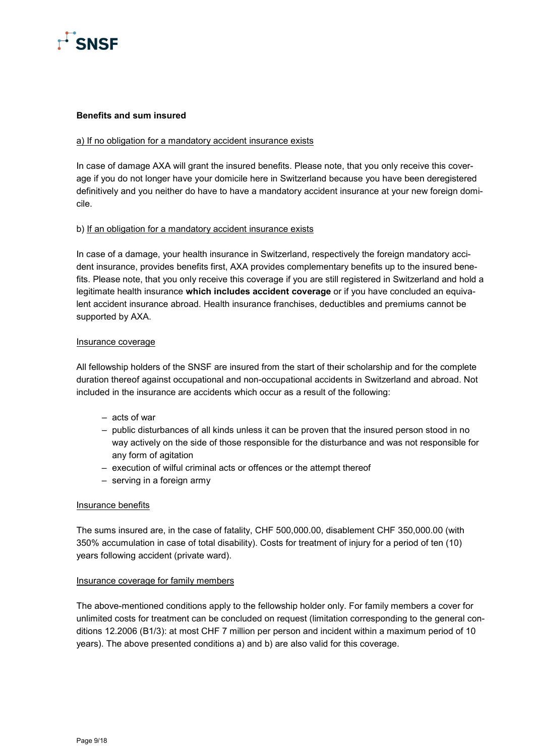

#### **Benefits and sum insured**

### a) If no obligation for a mandatory accident insurance exists

In case of damage AXA will grant the insured benefits. Please note, that you only receive this coverage if you do not longer have your domicile here in Switzerland because you have been deregistered definitively and you neither do have to have a mandatory accident insurance at your new foreign domicile.

### b) If an obligation for a mandatory accident insurance exists

In case of a damage, your health insurance in Switzerland, respectively the foreign mandatory accident insurance, provides benefits first, AXA provides complementary benefits up to the insured benefits. Please note, that you only receive this coverage if you are still registered in Switzerland and hold a legitimate health insurance **which includes accident coverage** or if you have concluded an equivalent accident insurance abroad. Health insurance franchises, deductibles and premiums cannot be supported by AXA.

#### Insurance coverage

All fellowship holders of the SNSF are insured from the start of their scholarship and for the complete duration thereof against occupational and non-occupational accidents in Switzerland and abroad. Not included in the insurance are accidents which occur as a result of the following:

- acts of war
- public disturbances of all kinds unless it can be proven that the insured person stood in no way actively on the side of those responsible for the disturbance and was not responsible for any form of agitation
- execution of wilful criminal acts or offences or the attempt thereof
- serving in a foreign army

#### Insurance benefits

The sums insured are, in the case of fatality, CHF 500,000.00, disablement CHF 350,000.00 (with 350% accumulation in case of total disability). Costs for treatment of injury for a period of ten (10) years following accident (private ward).

### Insurance coverage for family members

The above-mentioned conditions apply to the fellowship holder only. For family members a cover for unlimited costs for treatment can be concluded on request (limitation corresponding to the [general](http://dict.leo.org/ende?lp=ende&p=thMx..&search=general) [con](http://dict.leo.org/ende?lp=ende&p=thMx..&search=conditions)[ditions](http://dict.leo.org/ende?lp=ende&p=thMx..&search=conditions) 12.2006 (B1/3): at most CHF 7 million per person and incident within a maximum period of 10 years). The above presented conditions a) and b) are also valid for this coverage.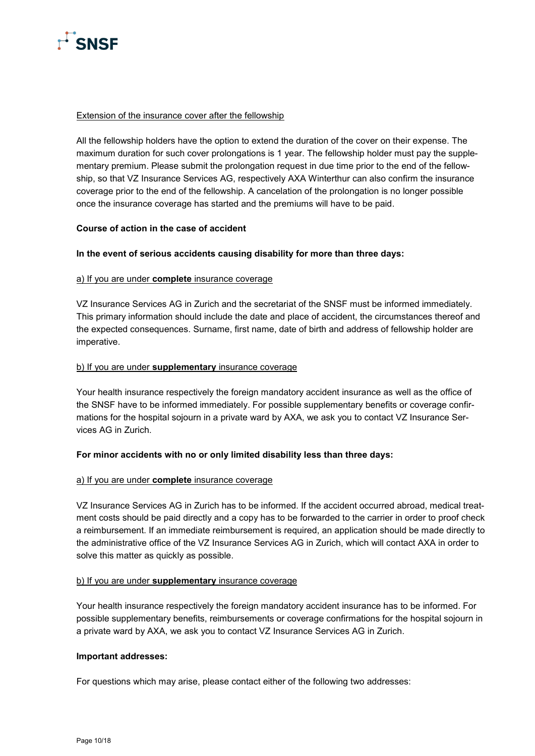

### Extension of the insurance cover after the fellowship

All the fellowship holders have the option to extend the duration of the cover on their expense. The maximum duration for such cover prolongations is 1 year. The fellowship holder must pay the supplementary premium. Please submit the prolongation request in due time prior to the end of the fellowship, so that VZ Insurance Services AG, respectively AXA Winterthur can also confirm the insurance coverage prior to the end of the fellowship. A cancelation of the prolongation is no longer possible once the insurance coverage has started and the premiums will have to be paid.

### **Course of action in the case of accident**

### **In the event of serious accidents causing disability for more than three days:**

### a) If you are under **complete** insurance coverage

VZ Insurance Services AG in Zurich and the secretariat of the SNSF must be informed immediately. This primary information should include the date and place of accident, the circumstances thereof and the expected consequences. Surname, first name, date of birth and address of fellowship holder are imperative.

### b) If you are under **supplementary** insurance coverage

Your health insurance respectively the foreign mandatory accident insurance as well as the office of the SNSF have to be informed immediately. For possible supplementary benefits or coverage confirmations for the hospital sojourn in a private ward by AXA, we ask you to contact VZ Insurance Services AG in Zurich.

### **For minor accidents with no or only limited disability less than three days:**

#### a) If you are under **complete** insurance coverage

VZ Insurance Services AG in Zurich has to be informed. If the accident occurred abroad, medical treatment costs should be paid directly and a copy has to be forwarded to the carrier in order to proof check a reimbursement. If an immediate reimbursement is required, an application should be made directly to the administrative office of the VZ Insurance Services AG in Zurich, which will contact AXA in order to solve this matter as quickly as possible.

### b) If you are under **supplementary** insurance coverage

Your health insurance respectively the foreign mandatory accident insurance has to be informed. For possible supplementary benefits, reimbursements or coverage confirmations for the hospital sojourn in a private ward by AXA, we ask you to contact VZ Insurance Services AG in Zurich.

#### **Important addresses:**

For questions which may arise, please contact either of the following two addresses: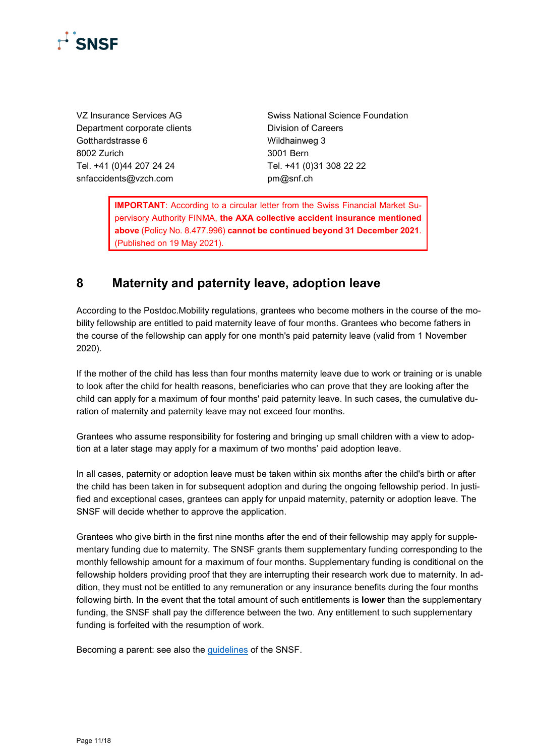

Department corporate clients **Division of Careers** Gotthardstrasse 6 Wildhainweg 3 8002 Zurich 3001 Bern Tel. +41 (0)44 207 24 24 Tel. +41 (0)31 308 22 22 [snfaccidents@vzch.com](mailto:snfaccidents@vzch.com) [pm@snf.ch](mailto:pm@snf.ch)

VZ Insurance Services AG Swiss National Science Foundation

**IMPORTANT**: According to a circular letter from the Swiss Financial Market Supervisory Authority FINMA, **the AXA collective accident insurance mentioned above** (Policy No. 8.477.996) **cannot be continued beyond 31 December 2021**. (Published on 19 May 2021).

### <span id="page-10-0"></span>**8 Maternity and paternity leave, adoption leave**

According to the Postdoc.Mobility regulations, grantees who become mothers in the course of the mobility fellowship are entitled to paid maternity leave of four months. Grantees who become fathers in the course of the fellowship can apply for one month's paid paternity leave (valid from 1 November 2020).

If the mother of the child has less than four months maternity leave due to work or training or is unable to look after the child for health reasons, beneficiaries who can prove that they are looking after the child can apply for a maximum of four months' paid paternity leave. In such cases, the cumulative duration of maternity and paternity leave may not exceed four months.

Grantees who assume responsibility for fostering and bringing up small children with a view to adoption at a later stage may apply for a maximum of two months' paid adoption leave.

In all cases, paternity or adoption leave must be taken within six months after the child's birth or after the child has been taken in for subsequent adoption and during the ongoing fellowship period. In justified and exceptional cases, grantees can apply for unpaid maternity, paternity or adoption leave. The SNSF will decide whether to approve the application.

Grantees who give birth in the first nine months after the end of their fellowship may apply for supplementary funding due to maternity. The SNSF grants them supplementary funding corresponding to the monthly fellowship amount for a maximum of four months. Supplementary funding is conditional on the fellowship holders providing proof that they are interrupting their research work due to maternity. In addition, they must not be entitled to any remuneration or any insurance benefits during the four months following birth. In the event that the total amount of such entitlements is **lower** than the supplementary funding, the SNSF shall pay the difference between the two. Any entitlement to such supplementary funding is forfeited with the resumption of work.

Becoming a parent: see also the [guidelines](http://www.snf.ch/en/funding/directaccess/gender-equality/Pages/default.aspx#Becoming%20a%20parent) of the SNSF.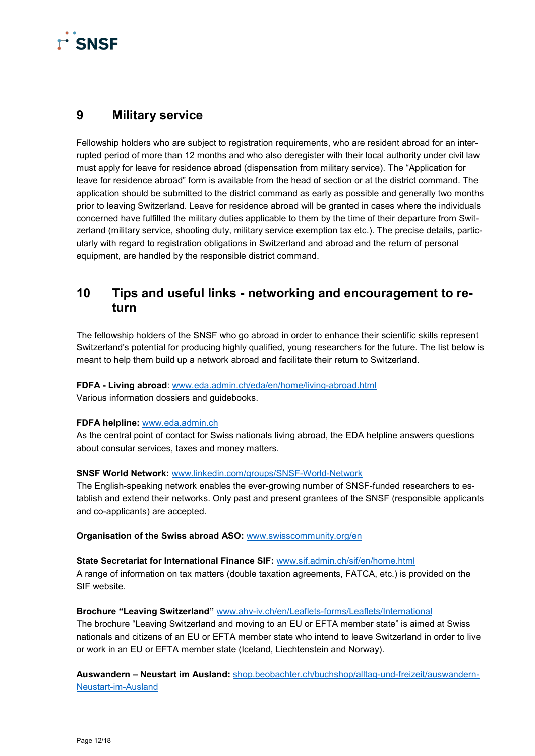

### <span id="page-11-0"></span>**9 Military service**

Fellowship holders who are subject to registration requirements, who are resident abroad for an interrupted period of more than 12 months and who also deregister with their local authority under civil law must apply for leave for residence abroad (dispensation from military service). The "Application for leave for residence abroad" form is available from the head of section or at the district command. The application should be submitted to the district command as early as possible and generally two months prior to leaving Switzerland. Leave for residence abroad will be granted in cases where the individuals concerned have fulfilled the military duties applicable to them by the time of their departure from Switzerland (military service, shooting duty, military service exemption tax etc.). The precise details, particularly with regard to registration obligations in Switzerland and abroad and the return of personal equipment, are handled by the responsible district command.

### <span id="page-11-1"></span>**10 Tips and useful links - networking and encouragement to return**

The fellowship holders of the SNSF who go abroad in order to enhance their scientific skills represent Switzerland's potential for producing highly qualified, young researchers for the future. The list below is meant to help them build up a network abroad and facilitate their return to Switzerland.

### **FDFA - Living abroad**: [www.eda.admin.ch/eda/en/home/living-abroad.html](https://www.eda.admin.ch/eda/en/home/living-abroad.html)

Various information dossiers and guidebooks.

### **FDFA helpline:** [www.eda.admin.ch](https://www.eda.admin.ch/eda/en/home/fdfa/organisation-fdfa/directorates-divisions/cd/swiss-citizen-services/helpline-fdfa.html)

As the central point of contact for Swiss nationals living abroad, the EDA helpline answers questions about consular services, taxes and money matters.

### **SNSF World Network:** [www.linkedin.com/groups/SNSF-World-Network](http://www.linkedin.com/groups/SNSF-World-Network-5161227/about)

The English-speaking network enables the ever-growing number of SNSF-funded researchers to establish and extend their networks. Only past and present grantees of the SNSF (responsible applicants and co-applicants) are accepted.

### **Organisation of the Swiss abroad ASO:** [www.swisscommunity.org/en](http://www.swisscommunity.org/en)

### **State Secretariat for International Finance SIF:** [www.sif.admin.ch/sif/en/home.html](https://www.sif.admin.ch/sif/en/home.html)

A range of information on tax matters (double taxation agreements, FATCA, etc.) is provided on the SIF website.

### **Brochure "Leaving Switzerland"** [www.ahv-iv.ch/en/Leaflets-forms/Leaflets/International](https://www.ahv-iv.ch/en/Leaflets-forms/Leaflets/International)

The brochure "Leaving Switzerland and moving to an EU or EFTA member state" is aimed at Swiss nationals and citizens of an EU or EFTA member state who intend to leave Switzerland in order to live or work in an EU or EFTA member state (Iceland, Liechtenstein and Norway).

**Auswandern – Neustart im Ausland:** [shop.beobachter.ch/buchshop/alltag-und-freizeit/auswandern-](https://shop.beobachter.ch/buchshop/alltag-und-freizeit/auswandern-Neustart-im-Ausland)[Neustart-im-Ausland](https://shop.beobachter.ch/buchshop/alltag-und-freizeit/auswandern-Neustart-im-Ausland)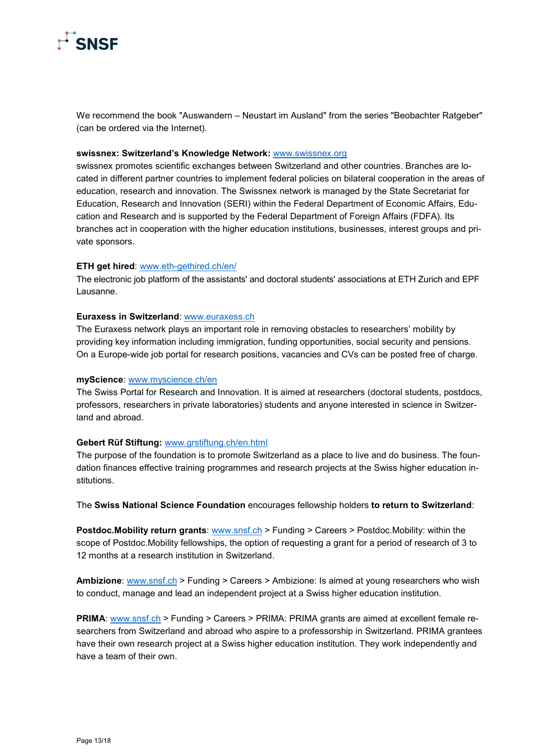

We recommend the book "Auswandern – Neustart im Ausland" from the series "Beobachter Ratgeber" (can be ordered via the Internet).

#### **swissnex: Switzerland's Knowledge Network:** [www.swissnex.org](http://www.swissnex.org/)

swissnex promotes scientific exchanges between Switzerland and other countries. Branches are located in different partner countries to implement federal policies on bilateral cooperation in the areas of education, research and innovation. The Swissnex network is managed by the State Secretariat for Education, Research and Innovation (SERI) within the Federal Department of Economic Affairs, Education and Research and is supported by the Federal Department of Foreign Affairs (FDFA). Its branches act in cooperation with the higher education institutions, businesses, interest groups and private sponsors.

#### **ETH get hired**: [www.eth-gethired.ch/en/](http://www.eth-gethired.ch/en/)

The electronic job platform of the assistants' and doctoral students' associations at ETH Zurich and EPF Lausanne.

#### **Euraxess in Switzerland**: [www.euraxess.ch](http://www.euraxess.ch/)

The Euraxess network plays an important role in removing obstacles to researchers' mobility by providing key information including immigration, funding opportunities, social security and pensions. On a Europe-wide job portal for research positions, vacancies and CVs can be posted free of charge.

#### **myScience**: [www.myscience.ch/en](https://www.myscience.ch/en)

The Swiss Portal for Research and Innovation. It is aimed at researchers (doctoral students, postdocs, professors, researchers in private laboratories) students and anyone interested in science in Switzerland and abroad.

#### **Gebert Rüf Stiftung:** [www.grstiftung.ch/en.html](http://www.grstiftung.ch/en.html)

The purpose of the foundation is to promote Switzerland as a place to live and do business. The foundation finances effective training programmes and research projects at the Swiss higher education institutions.

The **Swiss National Science Foundation** encourages fellowship holders **to return to Switzerland**:

**Postdoc.Mobility return grants**: [www.snsf.ch](http://www.snsf.ch/) > Funding > Careers > Postdoc.Mobility: within the scope of Postdoc.Mobility fellowships, the option of requesting a grant for a period of research of 3 to 12 months at a research institution in Switzerland.

**Ambizione**: [www.snsf.ch](http://www.snsf.ch/) > Funding > Careers > Ambizione: Is aimed at young researchers who wish to conduct, manage and lead an independent project at a Swiss higher education institution.

**PRIMA**: [www.snsf.ch](http://www.snsf.ch/) > Funding > Careers > PRIMA: PRIMA grants are aimed at excellent female researchers from Switzerland and abroad who aspire to a professorship in Switzerland. PRIMA grantees have their own research project at a Swiss higher education institution. They work independently and have a team of their own.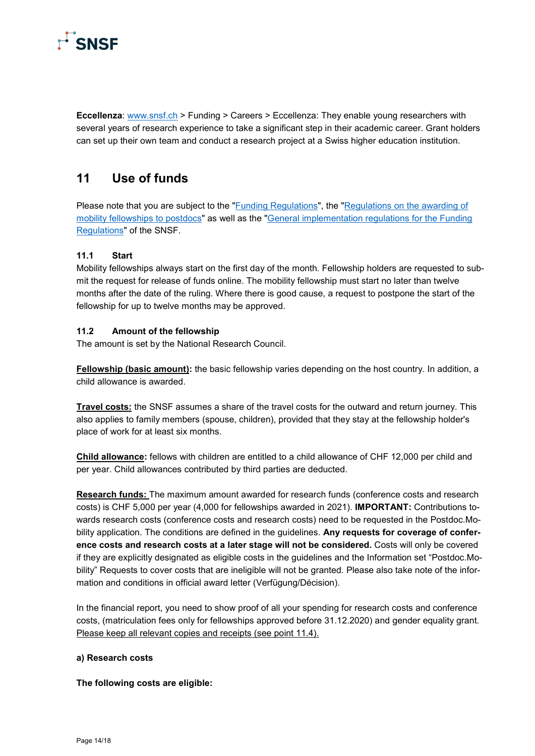

**Eccellenza**: [www.snsf.ch](http://www.snsf.ch/) > Funding > Careers > Eccellenza: They enable young researchers with several years of research experience to take a significant step in their academic career. Grant holders can set up their own team and conduct a research project at a Swiss higher education institution.

### <span id="page-13-0"></span>**11 Use of funds**

Please note that you are subject to the ["Funding Regulations"](https://www.snf.ch/media/en/lCCrvpOHZ38Hbg5Y/allg_reglement_16_e.pdf), the "Regulations on the awarding of [mobility fellowships to postdocs"](https://www.snf.ch/media/en/7ec22xUFqQOtJmE7/Reglement_PM_ab2021_en.pdf) as well as the "General implementation regulations for the Funding [Regulations"](https://www.snf.ch/media/en/B0SWnPsrDCRTaiCx/snsf-general-implementation-regulations-for-the-funding-regulations-e.pdf) of the SNSF.

### <span id="page-13-1"></span>**11.1 Start**

Mobility fellowships always start on the first day of the month. Fellowship holders are requested to submit the request for release of funds online. The mobility fellowship must start no later than twelve months after the date of the ruling. Where there is good cause, a request to postpone the start of the fellowship for up to twelve months may be approved.

### <span id="page-13-2"></span>**11.2 Amount of the fellowship**

The amount is set by the National Research Council.

**Fellowship (basic amount):** the basic fellowship varies depending on the host country. In addition, a child allowance is awarded.

**Travel costs:** the SNSF assumes a share of the travel costs for the outward and return journey. This also applies to family members (spouse, children), provided that they stay at the fellowship holder's place of work for at least six months.

**Child allowance:** fellows with children are entitled to a child allowance of CHF 12,000 per child and per year. Child allowances contributed by third parties are deducted.

**Research funds:** The maximum amount awarded for research funds (conference costs and research costs) is CHF 5,000 per year (4,000 for fellowships awarded in 2021). **IMPORTANT:** Contributions towards research costs (conference costs and research costs) need to be requested in the Postdoc.Mobility application. The conditions are defined in the guidelines. **Any requests for coverage of conference costs and research costs at a later stage will not be considered.** Costs will only be covered if they are explicitly designated as eligible costs in the guidelines and the Information set "Postdoc.Mobility" Requests to cover costs that are ineligible will not be granted. Please also take note of the information and conditions in official award letter (Verfügung/Décision).

In the financial report, you need to show proof of all your spending for research costs and conference costs, (matriculation fees only for fellowships approved before 31.12.2020) and gender equality grant. Please keep all relevant copies and receipts (see point 11.4).

### **a) Research costs**

**The following costs are eligible:**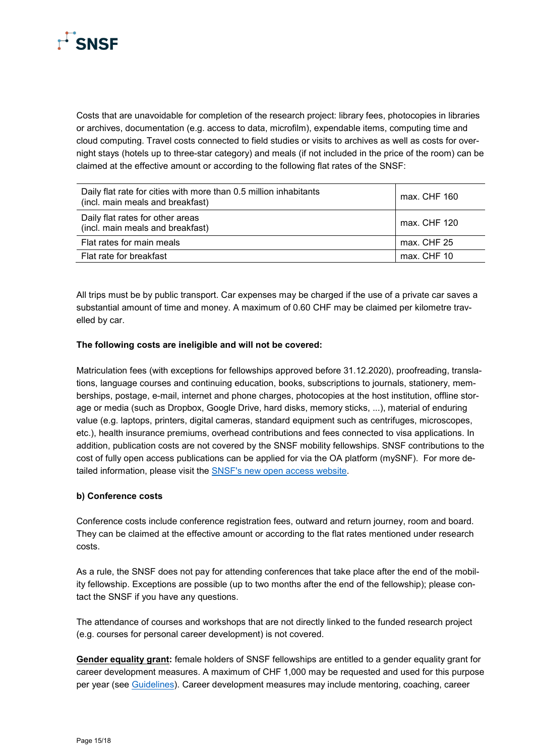

Costs that are unavoidable for completion of the research project: library fees, photocopies in libraries or archives, documentation (e.g. access to data, microfilm), expendable items, computing time and cloud computing. Travel costs connected to field studies or visits to archives as well as costs for overnight stays (hotels up to three-star category) and meals (if not included in the price of the room) can be claimed at the effective amount or according to the following flat rates of the SNSF:

| Daily flat rate for cities with more than 0.5 million inhabitants<br>(incl. main meals and breakfast) | max. CHF 160 |
|-------------------------------------------------------------------------------------------------------|--------------|
| Daily flat rates for other areas<br>(incl. main meals and breakfast)                                  | max. CHF 120 |
| Flat rates for main meals                                                                             | max. CHF 25  |
| Flat rate for breakfast                                                                               | max. CHF 10  |

All trips must be by public transport. Car expenses may be charged if the use of a private car saves a substantial amount of time and money. A maximum of 0.60 CHF may be claimed per kilometre travelled by car.

### **The following costs are ineligible and will not be covered:**

Matriculation fees (with exceptions for fellowships approved before 31.12.2020), proofreading, translations, language courses and continuing education, books, subscriptions to journals, stationery, memberships, postage, e-mail, internet and phone charges, photocopies at the host institution, offline storage or media (such as Dropbox, Google Drive, hard disks, memory sticks, ...), material of enduring value (e.g. laptops, printers, digital cameras, standard equipment such as centrifuges, microscopes, etc.), health insurance premiums, overhead contributions and fees connected to visa applications. In addition, publication costs are not covered by the SNSF mobility fellowships. SNSF contributions to the cost of fully open access publications can be applied for via the OA platform (mySNF). For more detailed information, please visit the [SNSF's new open access website.](http://oa100.snf.ch/en)

### **b) Conference costs**

Conference costs include conference registration fees, outward and return journey, room and board. They can be claimed at the effective amount or according to the flat rates mentioned under research costs.

As a rule, the SNSF does not pay for attending conferences that take place after the end of the mobility fellowship. Exceptions are possible (up to two months after the end of the fellowship); please contact the SNSF if you have any questions.

The attendance of courses and workshops that are not directly linked to the funded research project (e.g. courses for personal career development) is not covered.

**Gender equality grant:** female holders of SNSF fellowships are entitled to a gender equality grant for career development measures. A maximum of CHF 1,000 may be requested and used for this purpose per year (see [Guidelines\)](https://www.snf.ch/media/en/1X7lT4VffCoApw58/gleichstellungsbeitrag_leitfaden_e.pdf). Career development measures may include mentoring, coaching, career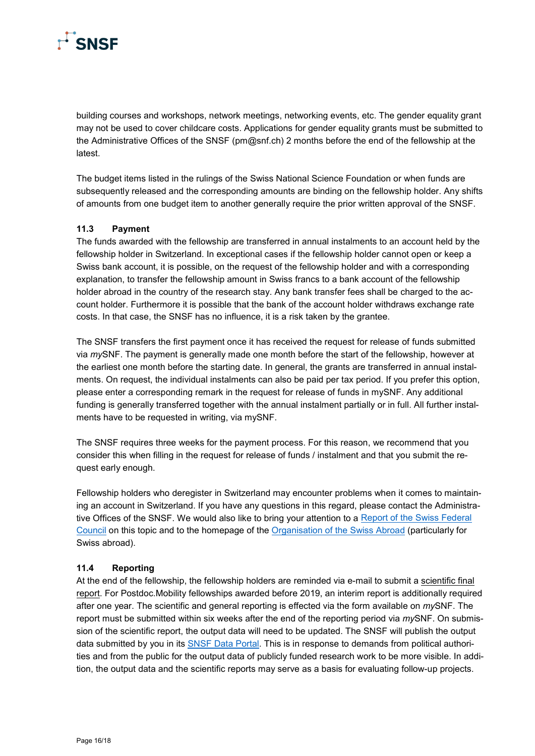

building courses and workshops, network meetings, networking events, etc. The gender equality grant may not be used to cover childcare costs. Applications for gender equality grants must be submitted to the Administrative Offices of the SNSF (pm@snf.ch) 2 months before the end of the fellowship at the latest.

The budget items listed in the rulings of the Swiss National Science Foundation or when funds are subsequently released and the corresponding amounts are binding on the fellowship holder. Any shifts of amounts from one budget item to another generally require the prior written approval of the SNSF.

### <span id="page-15-0"></span>**11.3 Payment**

The funds awarded with the fellowship are transferred in annual instalments to an account held by the fellowship holder in Switzerland. In exceptional cases if the fellowship holder cannot open or keep a Swiss bank account, it is possible, on the request of the fellowship holder and with a corresponding explanation, to transfer the fellowship amount in Swiss francs to a bank account of the fellowship holder abroad in the country of the research stay. Any bank transfer fees shall be charged to the account holder. Furthermore it is possible that the bank of the account holder withdraws exchange rate costs. In that case, the SNSF has no influence, it is a risk taken by the grantee.

The SNSF transfers the first payment once it has received the request for release of funds submitted via *my*SNF. The payment is generally made one month before the start of the fellowship, however at the earliest one month before the starting date. In general, the grants are transferred in annual instalments. On request, the individual instalments can also be paid per tax period. If you prefer this option, please enter a corresponding remark in the request for release of funds in mySNF. Any additional funding is generally transferred together with the annual instalment partially or in full. All further instalments have to be requested in writing, via mySNF.

The SNSF requires three weeks for the payment process. For this reason, we recommend that you consider this when filling in the request for release of funds / instalment and that you submit the request early enough.

Fellowship holders who deregister in Switzerland may encounter problems when it comes to maintaining an account in Switzerland. If you have any questions in this regard, please contact the Administrative Offices of the SNSF. We would also like to bring your attention to a Report of the Swiss Federal [Council](https://www.efd.admin.ch/dam/efd/de/dokumente/home/dokumentation/berichte/bericht-zahlungsverkehr-auslaender.pdf.download.pdf/ASZ-BE-d.pdf) on this topic and to the homepage of the [Organisation of the Swiss Abroad](https://www.swisscommunity.org/en) (particularly for Swiss abroad).

### <span id="page-15-1"></span>**11.4 Reporting**

At the end of the fellowship, the fellowship holders are reminded via e-mail to submit a scientific final report. For Postdoc.Mobility fellowships awarded before 2019, an interim report is additionally required after one year. The scientific and general reporting is effected via the form available on *my*SNF. The report must be submitted within six weeks after the end of the reporting period via *my*SNF. On submission of the scientific report, the output data will need to be updated. The SNSF will publish the output data submitted by you in its [SNSF Data Portal.](https://data.snf.ch/) This is in response to demands from political authorities and from the public for the output data of publicly funded research work to be more visible. In addition, the output data and the scientific reports may serve as a basis for evaluating follow-up projects.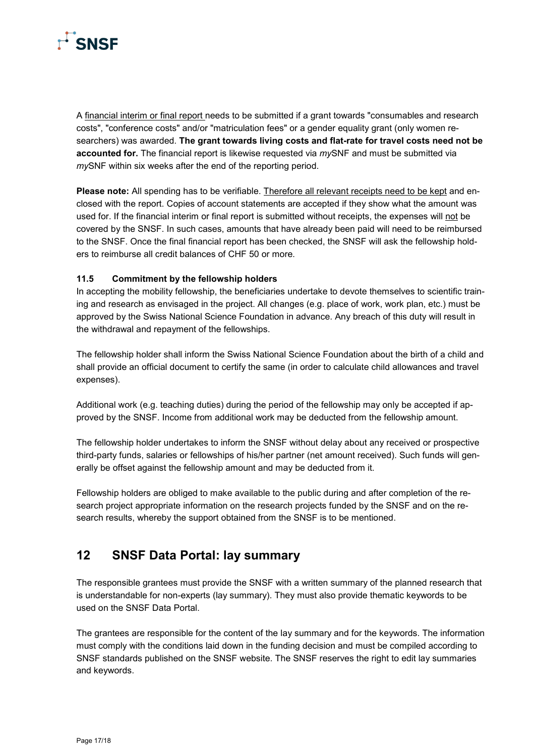

A financial interim or final report needs to be submitted if a grant towards "consumables and research costs", "conference costs" and/or "matriculation fees" or a gender equality grant (only women researchers) was awarded. **The grant towards living costs and flat-rate for travel costs need not be accounted for.** The financial report is likewise requested via *my*SNF and must be submitted via *my*SNF within six weeks after the end of the reporting period.

**Please note:** All spending has to be verifiable. Therefore all relevant receipts need to be kept and enclosed with the report. Copies of account statements are accepted if they show what the amount was used for. If the financial interim or final report is submitted without receipts, the expenses will not be covered by the SNSF. In such cases, amounts that have already been paid will need to be reimbursed to the SNSF. Once the final financial report has been checked, the SNSF will ask the fellowship holders to reimburse all credit balances of CHF 50 or more.

### <span id="page-16-0"></span>**11.5 Commitment by the fellowship holders**

In accepting the mobility fellowship, the beneficiaries undertake to devote themselves to scientific training and research as envisaged in the project. All changes (e.g. place of work, work plan, etc.) must be approved by the Swiss National Science Foundation in advance. Any breach of this duty will result in the withdrawal and repayment of the fellowships.

The fellowship holder shall inform the Swiss National Science Foundation about the birth of a child and shall provide an official document to certify the same (in order to calculate child allowances and travel expenses).

Additional work (e.g. teaching duties) during the period of the fellowship may only be accepted if approved by the SNSF. Income from additional work may be deducted from the fellowship amount.

The fellowship holder undertakes to inform the SNSF without delay about any received or prospective third-party funds, salaries or fellowships of his/her partner (net amount received). Such funds will generally be offset against the fellowship amount and may be deducted from it.

Fellowship holders are obliged to make available to the public during and after completion of the research project appropriate information on the research projects funded by the SNSF and on the research results, whereby the support obtained from the SNSF is to be mentioned.

### <span id="page-16-1"></span>**12 SNSF Data Portal: lay summary**

The responsible grantees must provide the SNSF with a written summary of the planned research that is understandable for non-experts (lay summary). They must also provide thematic keywords to be used on the SNSF Data Portal.

The grantees are responsible for the content of the lay summary and for the keywords. The information must comply with the conditions laid down in the funding decision and must be compiled according to SNSF standards published on the SNSF website. The SNSF reserves the right to edit lay summaries and keywords.